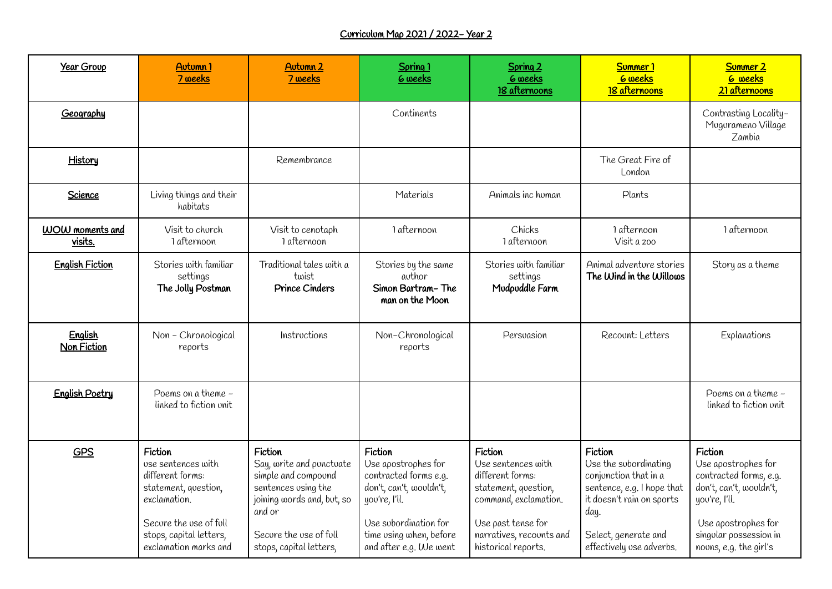## Curriculum Map 2021 / 2022- Year 2

| Year Group                    | Autumn <sub>1</sub><br>7 weeks                                                                                                                                          | Autumn <sub>2</sub><br>7 weeks                                                                                                                                                 | Spring 1<br><b>6</b> weeks                                                                                                                                                        | Spring 2<br><b>6</b> weeks<br>18 afternoons                                                                                                                                 | Summer <sub>1</sub><br><b>6</b> weeks<br>18 afternoons                                                                                                                           | Summer <sub>2</sub><br><b>6</b> weeks<br>21 afternoons                                                                                                                          |
|-------------------------------|-------------------------------------------------------------------------------------------------------------------------------------------------------------------------|--------------------------------------------------------------------------------------------------------------------------------------------------------------------------------|-----------------------------------------------------------------------------------------------------------------------------------------------------------------------------------|-----------------------------------------------------------------------------------------------------------------------------------------------------------------------------|----------------------------------------------------------------------------------------------------------------------------------------------------------------------------------|---------------------------------------------------------------------------------------------------------------------------------------------------------------------------------|
| Geography                     |                                                                                                                                                                         |                                                                                                                                                                                | Continents                                                                                                                                                                        |                                                                                                                                                                             |                                                                                                                                                                                  | Contrasting Locality-<br>Mugurameno Village<br>Zambia                                                                                                                           |
| History                       |                                                                                                                                                                         | Remembrance                                                                                                                                                                    |                                                                                                                                                                                   |                                                                                                                                                                             | The Great Fire of<br>London                                                                                                                                                      |                                                                                                                                                                                 |
| Science                       | Living things and their<br>habitats                                                                                                                                     |                                                                                                                                                                                | Materials                                                                                                                                                                         | Animals inc human                                                                                                                                                           | Plants                                                                                                                                                                           |                                                                                                                                                                                 |
| WOW moments and<br>visits.    | Visit to church<br>1 afternoon                                                                                                                                          | Visit to cenotaph<br>1 afternoon                                                                                                                                               | 1 afternoon                                                                                                                                                                       | Chicks<br>1 afternoon                                                                                                                                                       | 1 afternoon<br>Visit a zoo                                                                                                                                                       | 1 afternoon                                                                                                                                                                     |
| <b>English Fiction</b>        | Stories with familiar<br>settings<br>The Jolly Postman                                                                                                                  | Traditional tales with a<br>twist<br><b>Prince Cinders</b>                                                                                                                     | Stories by the same<br>author<br>Simon Bartram-The<br>man on the Moon                                                                                                             | Stories with familiar<br>settings<br>Mudpuddle Farm                                                                                                                         | Animal adventure stories<br>The Wind in the Willows                                                                                                                              | Story as a theme                                                                                                                                                                |
| English<br><b>Non Fiction</b> | Non - Chronological<br>reports                                                                                                                                          | Instructions                                                                                                                                                                   | Non-Chronological<br>reports                                                                                                                                                      | Persuasion                                                                                                                                                                  | Recount: Letters                                                                                                                                                                 | Explanations                                                                                                                                                                    |
| <b>English Poetry</b>         | Poems on a theme -<br>linked to fiction unit                                                                                                                            |                                                                                                                                                                                |                                                                                                                                                                                   |                                                                                                                                                                             |                                                                                                                                                                                  | Poems on a theme -<br>linked to fiction unit                                                                                                                                    |
| GPS                           | Fiction<br>use sentences with<br>different forms:<br>statement, question,<br>exclamation.<br>Secure the use of full<br>stops, capital letters,<br>exclamation marks and | Fiction<br>Say, write and punctuate<br>simple and compound<br>sentences using the<br>joining words and, but, so<br>and or<br>Secure the use of full<br>stops, capital letters, | Fiction<br>Use apostrophes for<br>contracted forms e.g.<br>don't, can't, wouldn't,<br>yov're, I'll.<br>Use subordination for<br>time using when, before<br>and after e.g. We went | Fiction<br>Use sentences with<br>different forms:<br>statement, question,<br>command, exclamation.<br>Use past tense for<br>narratives, recounts and<br>historical reports. | Fiction<br>Use the subordinating<br>conjunction that in a<br>sentence, e.g. I hope that<br>it doesn't rain on sports<br>day.<br>Select, generate and<br>effectively use adverbs. | Fiction<br>Use apostrophes for<br>contracted forms, e.g.<br>don't, can't, wouldn't,<br>you're, I'll.<br>Use apostrophes for<br>singular possession in<br>nouns, e.g. the girl's |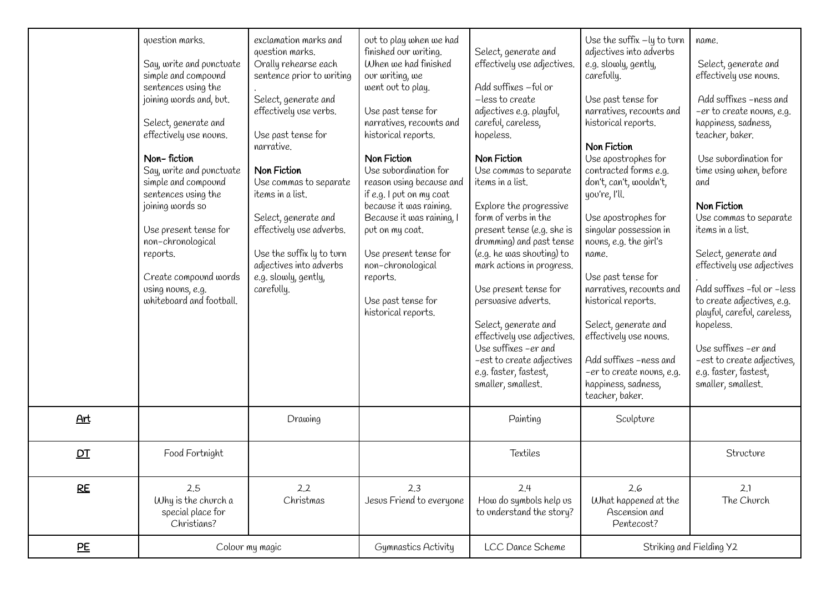|           | question marks.<br>Say, write and punctuate<br>simple and compound<br>sentences using the<br>joining words and, but.<br>Select, generate and<br>effectively use nouns.<br>Non-fiction<br>Say, write and punctuate<br>simple and compound<br>sentences using the<br>joining words so<br>Use present tense for<br>non-chronological<br>reports.<br>Create compound words<br>using nouns, e.g.<br>whiteboard and football. | exclamation marks and<br>question marks.<br>Orally rehearse each<br>sentence prior to writing<br>Select, generate and<br>effectively use verbs.<br>Use past tense for<br>narrative.<br>Non Fiction<br>Use commas to separate<br>items in a list.<br>Select, generate and<br>effectively use adverbs.<br>Use the suffix ly to turn<br>adjectives into adverbs<br>e.g. slowly, gently,<br>carefolly. | out to play when we had<br>finished our writing.<br>When we had finished<br>our writing, we<br>went out to play.<br>Use past tense for<br>narratives, recounts and<br>historical reports.<br>Non Fiction<br>Use subordination for<br>reason using because and<br>if e.g. I put on my coat<br>because it was raining.<br>Because it was raining, I<br>put on my coat.<br>Use present tense for<br>non-chronological<br>reports.<br>Use past tense for<br>historical reports. | Select, generate and<br>effectively use adjectives.<br>Add suffixes - ful or<br>-less to create<br>adjectives e.g. playful,<br>careful, careless,<br>hopeless.<br>Non Fiction<br>Use commas to separate<br>items in a list.<br>Explore the progressive<br>form of verbs in the<br>present tense (e.g. she is<br>drumming) and past tense<br>(e.g. he was shouting) to<br>mark actions in progress.<br>Use present tense for<br>persuasive adverts.<br>Select, generate and<br>effectively use adjectives.<br>Use suffixes - er and<br>-est to create adjectives<br>e.g. faster, fastest,<br>smaller, smallest. | Use the suffix -ly to turn<br>adjectives into adverbs<br>e.g. slowly, gently,<br>carefolly.<br>Use past tense for<br>narratives, recounts and<br>historical reports.<br>Non Fiction<br>Use apostrophes for<br>contracted forms e.g.<br>don't, can't, wouldn't,<br>yov're, I'll.<br>Use apostrophes for<br>singular possession in<br>nouns, e.g. the girl's<br>name.<br>Use past tense for<br>narratives, recounts and<br>historical reports.<br>Select, generate and<br>effectively use nouns.<br>Add suffixes -ness and<br>-er to create novns, e.g.<br>happiness, sadness,<br>teacher, baker. | name.<br>Select, generate and<br>effectively use nouns.<br>Add suffixes -ness and<br>-er to create nouns, e.g.<br>happiness, sadness,<br>teacher, baker.<br>Use subordination for<br>time using when, before<br>and<br>Non Fiction<br>Use commas to separate<br>items in a list.<br>Select, generate and<br>effectively use adjectives<br>Add suffixes -ful or -less<br>to create adjectives, e.g.<br>playful, careful, careless,<br>hopeless.<br>Use suffixes - er and<br>-est to create adjectives,<br>e.g. faster, fastest,<br>smaller, smallest. |
|-----------|-------------------------------------------------------------------------------------------------------------------------------------------------------------------------------------------------------------------------------------------------------------------------------------------------------------------------------------------------------------------------------------------------------------------------|----------------------------------------------------------------------------------------------------------------------------------------------------------------------------------------------------------------------------------------------------------------------------------------------------------------------------------------------------------------------------------------------------|-----------------------------------------------------------------------------------------------------------------------------------------------------------------------------------------------------------------------------------------------------------------------------------------------------------------------------------------------------------------------------------------------------------------------------------------------------------------------------|----------------------------------------------------------------------------------------------------------------------------------------------------------------------------------------------------------------------------------------------------------------------------------------------------------------------------------------------------------------------------------------------------------------------------------------------------------------------------------------------------------------------------------------------------------------------------------------------------------------|-------------------------------------------------------------------------------------------------------------------------------------------------------------------------------------------------------------------------------------------------------------------------------------------------------------------------------------------------------------------------------------------------------------------------------------------------------------------------------------------------------------------------------------------------------------------------------------------------|------------------------------------------------------------------------------------------------------------------------------------------------------------------------------------------------------------------------------------------------------------------------------------------------------------------------------------------------------------------------------------------------------------------------------------------------------------------------------------------------------------------------------------------------------|
| Art       |                                                                                                                                                                                                                                                                                                                                                                                                                         | Drawing                                                                                                                                                                                                                                                                                                                                                                                            |                                                                                                                                                                                                                                                                                                                                                                                                                                                                             | Painting                                                                                                                                                                                                                                                                                                                                                                                                                                                                                                                                                                                                       | Sculpture                                                                                                                                                                                                                                                                                                                                                                                                                                                                                                                                                                                       |                                                                                                                                                                                                                                                                                                                                                                                                                                                                                                                                                      |
| DT        | Food Fortnight                                                                                                                                                                                                                                                                                                                                                                                                          |                                                                                                                                                                                                                                                                                                                                                                                                    |                                                                                                                                                                                                                                                                                                                                                                                                                                                                             | Textiles                                                                                                                                                                                                                                                                                                                                                                                                                                                                                                                                                                                                       |                                                                                                                                                                                                                                                                                                                                                                                                                                                                                                                                                                                                 | Structure                                                                                                                                                                                                                                                                                                                                                                                                                                                                                                                                            |
| <b>RE</b> | 2.5<br>Why is the church a<br>special place for<br>Christians?                                                                                                                                                                                                                                                                                                                                                          | 2.2<br>Christmas                                                                                                                                                                                                                                                                                                                                                                                   | 2.3<br>Jesus Friend to everyone                                                                                                                                                                                                                                                                                                                                                                                                                                             | 2.4<br>How do symbols help us<br>to understand the story?                                                                                                                                                                                                                                                                                                                                                                                                                                                                                                                                                      | 2.6<br>What happened at the<br>Ascension and<br>Pentecost?                                                                                                                                                                                                                                                                                                                                                                                                                                                                                                                                      | 2.1<br>The Church                                                                                                                                                                                                                                                                                                                                                                                                                                                                                                                                    |
| PE        | Colour my magic                                                                                                                                                                                                                                                                                                                                                                                                         |                                                                                                                                                                                                                                                                                                                                                                                                    | Gymnastics Activity                                                                                                                                                                                                                                                                                                                                                                                                                                                         | LCC Dance Scheme                                                                                                                                                                                                                                                                                                                                                                                                                                                                                                                                                                                               | Striking and Fielding Y2                                                                                                                                                                                                                                                                                                                                                                                                                                                                                                                                                                        |                                                                                                                                                                                                                                                                                                                                                                                                                                                                                                                                                      |